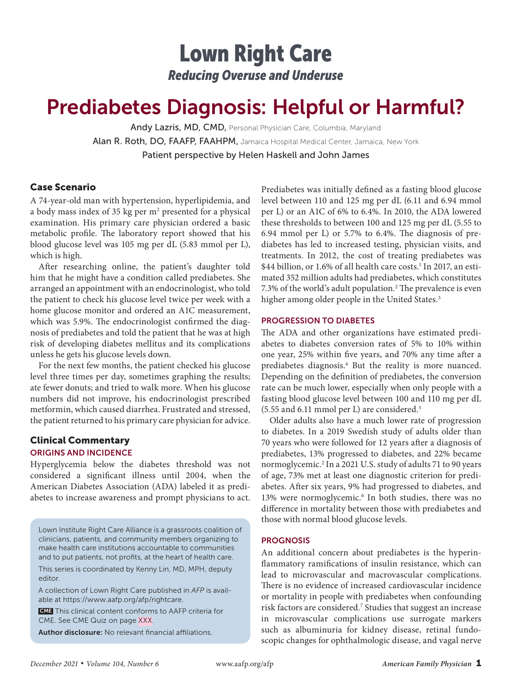## Lown Right Care *Reducing Overuse and Underuse*

# Prediabetes Diagnosis: Helpful or Harmful?

Andy Lazris, MD, CMD, Personal Physician Care, Columbia, Maryland Alan R. Roth, DO, FAAFP, FAAHPM, Jamaica Hospital Medical Center, Jamaica, New York Patient perspective by Helen Haskell and John James

## Case Scenario

A 74-year-old man with hypertension, hyperlipidemia, and a body mass index of 35 kg per m<sup>2</sup> presented for a physical examination. His primary care physician ordered a basic metabolic profile. The laboratory report showed that his blood glucose level was 105 mg per dL (5.83 mmol per L), which is high.

After researching online, the patient's daughter told him that he might have a condition called prediabetes. She arranged an appointment with an endocrinologist, who told the patient to check his glucose level twice per week with a home glucose monitor and ordered an A1C measurement, which was 5.9%. The endocrinologist confirmed the diagnosis of prediabetes and told the patient that he was at high risk of developing diabetes mellitus and its complications unless he gets his glucose levels down.

For the next few months, the patient checked his glucose level three times per day, sometimes graphing the results; ate fewer donuts; and tried to walk more. When his glucose numbers did not improve, his endocrinologist prescribed metformin, which caused diarrhea. Frustrated and stressed, the patient returned to his primary care physician for advice.

### Clinical Commentary ORIGINS AND INCIDENCE

Hyperglycemia below the diabetes threshold was not considered a significant illness until 2004, when the American Diabetes Association (ADA) labeled it as prediabetes to increase awareness and prompt physicians to act.

Lown Institute Right Care Alliance is a grassroots coalition of clinicians, patients, and community members organizing to make health care institutions accountable to communities and to put patients, not profits, at the heart of health care.

This series is coordinated by Kenny Lin, MD, MPH, deputy editor.

A collection of Lown Right Care published in *AFP* is available at https://www.aafp.org/afp/rightcare.

 CME This clinical content conforms to AAFP criteria for CME. See CME Quiz on page XXX.

Author disclosure: No relevant financial affiliations.

Prediabetes was initially defined as a fasting blood glucose level between 110 and 125 mg per dL (6.11 and 6.94 mmol per L) or an A1C of 6% to 6.4%. In 2010, the ADA lowered these thresholds to between 100 and 125 mg per dL (5.55 to 6.94 mmol per L) or 5.7% to 6.4%. The diagnosis of prediabetes has led to increased testing, physician visits, and treatments. In 2012, the cost of treating prediabetes was \$44 billion, or 1.6% of all health care costs.<sup>1</sup> In 2017, an estimated 352 million adults had prediabetes, which constitutes 7.3% of the world's adult population.<sup>2</sup> The prevalence is even higher among older people in the United States.<sup>3</sup>

#### PROGRESSION TO DIABETES

The ADA and other organizations have estimated prediabetes to diabetes conversion rates of 5% to 10% within one year, 25% within five years, and 70% any time after a prediabetes diagnosis.<sup>4</sup> But the reality is more nuanced. Depending on the definition of prediabetes, the conversion rate can be much lower, especially when only people with a fasting blood glucose level between 100 and 110 mg per dL (5.55 and 6.11 mmol per L) are considered.5

Older adults also have a much lower rate of progression to diabetes. In a 2019 Swedish study of adults older than 70 years who were followed for 12 years after a diagnosis of prediabetes, 13% progressed to diabetes, and 22% became normoglycemic.2 In a 2021 U.S. study of adults 71 to 90 years of age, 73% met at least one diagnostic criterion for prediabetes. After six years, 9% had progressed to diabetes, and 13% were normoglycemic.<sup>6</sup> In both studies, there was no difference in mortality between those with prediabetes and those with normal blood glucose levels.

#### **PROGNOSIS**

An additional concern about prediabetes is the hyperinflammatory ramifications of insulin resistance, which can lead to microvascular and macrovascular complications. There is no evidence of increased cardiovascular incidence or mortality in people with prediabetes when confounding risk factors are considered.<sup>7</sup> Studies that suggest an increase in microvascular complications use surrogate markers such as albuminuria for kidney disease, retinal fundoscopic changes for ophthalmologic disease, and vagal nerve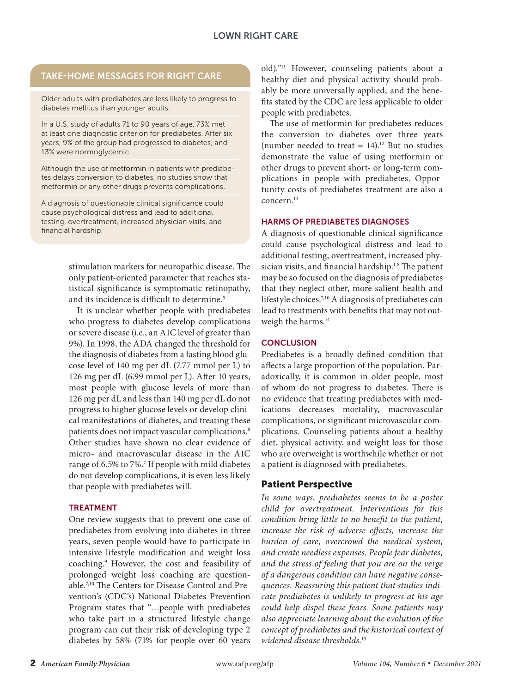## TAKE-HOME MESSAGES FOR RIGHT CARE

Older adults with prediabetes are less likely to progress to diabetes mellitus than younger adults.

In a U.S. study of adults 71 to 90 years of age, 73% met at least one diagnostic criterion for prediabetes. After six years, 9% of the group had progressed to diabetes, and 13% were normoglycemic.

Although the use of metformin in patients with prediabetes delays conversion to diabetes, no studies show that metformin or any other drugs prevents complications.

A diagnosis of questionable clinical significance could cause psychological distress and lead to additional testing, overtreatment, increased physician visits, and financial hardship.

> stimulation markers for neuropathic disease. The only patient-oriented parameter that reaches statistical significance is symptomatic retinopathy, and its incidence is difficult to determine.<sup>5</sup>

> It is unclear whether people with prediabetes who progress to diabetes develop complications or severe disease (i.e., an A1C level of greater than 9%). In 1998, the ADA changed the threshold for the diagnosis of diabetes from a fasting blood glucose level of 140 mg per dL (7.77 mmol per L) to 126 mg per dL (6.99 mmol per L). After 10 years, most people with glucose levels of more than 126 mg per dL and less than 140 mg per dL do not progress to higher glucose levels or develop clinical manifestations of diabetes, and treating these patients does not impact vascular complications.8 Other studies have shown no clear evidence of micro- and macrovascular disease in the A1C range of 6.5% to 7%.<sup>7</sup> If people with mild diabetes do not develop complications, it is even less likely that people with prediabetes will.

#### TREATMENT

One review suggests that to prevent one case of prediabetes from evolving into diabetes in three years, seven people would have to participate in intensive lifestyle modification and weight loss coaching.9 However, the cost and feasibility of prolonged weight loss coaching are questionable.7,10 The Centers for Disease Control and Prevention's (CDC's) National Diabetes Prevention Program states that "…people with prediabetes who take part in a structured lifestyle change program can cut their risk of developing type 2 diabetes by 58% (71% for people over 60 years

old)."11 However, counseling patients about a healthy diet and physical activity should probably be more universally applied, and the benefits stated by the CDC are less applicable to older people with prediabetes.

The use of metformin for prediabetes reduces the conversion to diabetes over three years (number needed to treat =  $14$ ).<sup>12</sup> But no studies demonstrate the value of using metformin or other drugs to prevent short- or long-term complications in people with prediabetes. Opportunity costs of prediabetes treatment are also a concern.13

#### HARMS OF PREDIABETES DIAGNOSES

A diagnosis of questionable clinical significance could cause psychological distress and lead to additional testing, overtreatment, increased physician visits, and financial hardship.<sup>1,8</sup> The patient may be so focused on the diagnosis of prediabetes that they neglect other, more salient health and lifestyle choices.7,10 A diagnosis of prediabetes can lead to treatments with benefits that may not outweigh the harms.<sup>14</sup>

#### **CONCLUSION**

Prediabetes is a broadly defined condition that affects a large proportion of the population. Paradoxically, it is common in older people, most of whom do not progress to diabetes. There is no evidence that treating prediabetes with medications decreases mortality, macrovascular complications, or significant microvascular complications. Counseling patients about a healthy diet, physical activity, and weight loss for those who are overweight is worthwhile whether or not a patient is diagnosed with prediabetes.

#### Patient Perspective

*In some ways, prediabetes seems to be a poster child for overtreatment. Interventions for this condition bring little to no benefit to the patient, increase the risk of adverse effects, increase the burden of care, overcrowd the medical system, and create needless expenses. People fear diabetes, and the stress of feeling that you are on the verge of a dangerous condition can have negative consequences. Reassuring this patient that studies indicate prediabetes is unlikely to progress at his age could help dispel these fears. Some patients may also appreciate learning about the evolution of the concept of prediabetes and the historical context of widened disease thresholds.*<sup>15</sup>